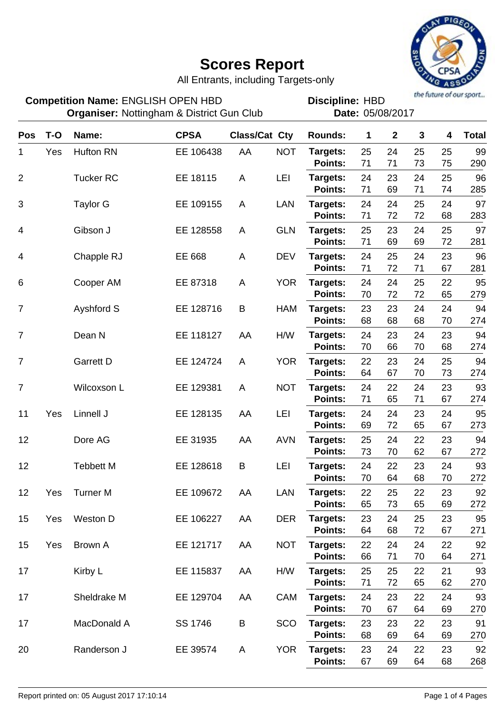

All Entrants, including Targets-only

**Discipline:**

**Organiser:** Nottingham & District Gun Club **Date:** 05/08/2017

**Competition Name: ENGLISH OPEN HBD FILM READING: HBD**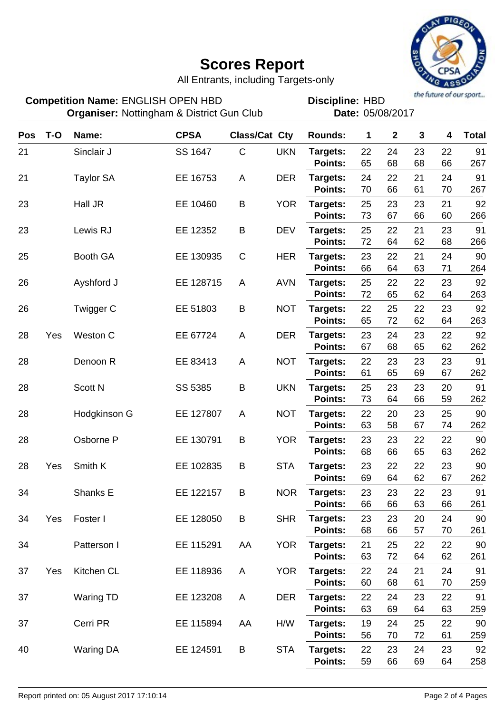

All Entrants, including Targets-only

**Pos T-O Name: CPSA Class/Cat Cty Rounds: 1 2 3 4 Total** 21 **Sinclair J SS 1647 C UKN Targets: Points:** 22 24 23 22 91 65 68 68 66 267 Sinclair J 21 **Targets:** Taylor SA EE 16753 A DER **Points:** 24 22 21 24 91 70 66 61 70 267 23 Hall JR EE 10460 B YOR Targets: **Points:** 25 23 23 21 92 73 67 66 60 266 EE 10460 23 Lewis RJ EE 12352 B DEV **Targets: Points:** 25 22 21 23 91 72 64 62 68 266 25 **Targets:** Booth GA EE 130935 C HER **Points:** 23 22 21 24 90 66 64 63 71 264 26 Ayshford J EE 128715 A AVN **Targets: Points:** 25 22 22 23 92 72 65 62 64 263 26 Twigger C EE 51803 B NOT **Targets: Points:** 22 25 22 23 92 65 72 62 64 263 28 Yes Weston C **EE 67724** A DER Targets: **Points:** 23 24 23 22 92 67 68 65 62 262 28 **Denoon R** EE 83413 A NOT **Targets: Points:** 22 23 23 23 91 61 65 69 67 262 28 **Targets:** Scott N **Targets:** SS 5385 B UKN Targets: **Points:** 25 23 23 20 91 73 64 66 59 262 SS 5385 28 **Hodgkinson G** EE 127807 A NOT Targets: **Points:** 22 20 23 25 90 63 58 67 74 262 28 Osborne P EE 130791 B YOR **Targets: Points:** 23 23 22 22 90 68 66 65 63 262 28 Yes Smith K **EE 102835 B** STA Targets: **Points:** 23 22 22 23 90 69 64 62 67 262 34 Shanks E EE 122157 B NOR **Targets: Points:** 23 23 22 23 91 66 66 63 66 261 34 Yes **Targets:** Foster I EE 128050 B SHR **Points:** 23 23 20 24 90 68 66 57 70 261 34 **Targets:** Patterson I EE 115291 AA YOR **Points:** 21 25 22 22 90 63 72 64 62 261 37 Yes Kitchen CL **EE 118936** A YOR Targets: **Points:** 22 24 21 24 91 60 68 61 70 259 37 **Targets:** Waring TD EE 123208 A DER **Points:** 22 24 23 22 91 63 69 64 63 259 37 Cerri PR EE 115894 AA H/W **Targets: Points:** 19 24 25 22 90 56 70 72 61 259 40 **Targets:** Waring DA EE 124591 B STA **Points:** 22 23 24 23 92 59 66 69 64 258 **Competition Name: ENGLISH OPEN HBD FILM READING: HBD Organiser:** Nottingham & District Gun Club **Date:** 05/08/2017 **Discipline:**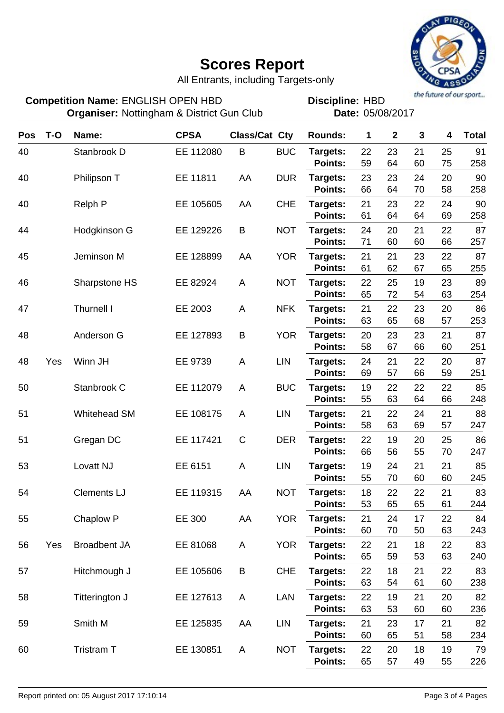

All Entrants, including Targets-only

| <b>Competition Name: ENGLISH OPEN HBD</b><br><b>Organiser: Nottingham &amp; District Gun Club</b> |       |                     |             |               | the future of our sport<br><b>Discipline: HBD</b><br>Date: 05/08/2017 |                            |             |              |          |          |              |
|---------------------------------------------------------------------------------------------------|-------|---------------------|-------------|---------------|-----------------------------------------------------------------------|----------------------------|-------------|--------------|----------|----------|--------------|
| <b>Pos</b>                                                                                        | $T-O$ | Name:               | <b>CPSA</b> | Class/Cat Cty |                                                                       | <b>Rounds:</b>             | $\mathbf 1$ | $\mathbf{2}$ | 3        | 4        | <b>Total</b> |
| 40                                                                                                |       | Stanbrook D         | EE 112080   | B             | <b>BUC</b>                                                            | Targets:<br><b>Points:</b> | 22<br>59    | 23<br>64     | 21<br>60 | 25<br>75 | 91<br>258    |
| 40                                                                                                |       | Philipson T         | EE 11811    | AA            | <b>DUR</b>                                                            | Targets:<br><b>Points:</b> | 23<br>66    | 23<br>64     | 24<br>70 | 20<br>58 | 90<br>258    |
| 40                                                                                                |       | <b>Relph P</b>      | EE 105605   | AA            | <b>CHE</b>                                                            | Targets:<br><b>Points:</b> | 21<br>61    | 23<br>64     | 22<br>64 | 24<br>69 | 90<br>258    |
| 44                                                                                                |       | Hodgkinson G        | EE 129226   | B             | <b>NOT</b>                                                            | Targets:<br><b>Points:</b> | 24<br>71    | 20<br>60     | 21<br>60 | 22<br>66 | 87<br>257    |
| 45                                                                                                |       | Jeminson M          | EE 128899   | AA            | <b>YOR</b>                                                            | Targets:<br><b>Points:</b> | 21<br>61    | 21<br>62     | 23<br>67 | 22<br>65 | 87<br>255    |
| 46                                                                                                |       | Sharpstone HS       | EE 82924    | A             | <b>NOT</b>                                                            | Targets:<br><b>Points:</b> | 22<br>65    | 25<br>72     | 19<br>54 | 23<br>63 | 89<br>254    |
| 47                                                                                                |       | <b>Thurnell I</b>   | EE 2003     | A             | <b>NFK</b>                                                            | Targets:<br><b>Points:</b> | 21<br>63    | 22<br>65     | 23<br>68 | 20<br>57 | 86<br>253    |
| 48                                                                                                |       | Anderson G          | EE 127893   | B             | <b>YOR</b>                                                            | Targets:<br><b>Points:</b> | 20<br>58    | 23<br>67     | 23<br>66 | 21<br>60 | 87<br>251    |
| 48                                                                                                | Yes   | Winn JH             | EE 9739     | A             | <b>LIN</b>                                                            | Targets:<br><b>Points:</b> | 24<br>69    | 21<br>57     | 22<br>66 | 20<br>59 | 87<br>251    |
| 50                                                                                                |       | Stanbrook C         | EE 112079   | A             | <b>BUC</b>                                                            | Targets:<br><b>Points:</b> | 19<br>55    | 22<br>63     | 22<br>64 | 22<br>66 | 85<br>248    |
| 51                                                                                                |       | Whitehead SM        | EE 108175   | A             | <b>LIN</b>                                                            | Targets:<br><b>Points:</b> | 21<br>58    | 22<br>63     | 24<br>69 | 21<br>57 | 88<br>247    |
| 51                                                                                                |       | Gregan DC           | EE 117421   | $\mathsf{C}$  | <b>DER</b>                                                            | Targets:<br><b>Points:</b> | 22<br>66    | 19<br>56     | 20<br>55 | 25<br>70 | 86<br>247    |
| 53                                                                                                |       | Lovatt NJ           | EE 6151     | A             | <b>LIN</b>                                                            | Targets:<br>Points:        | 19<br>55    | 24<br>70     | 21<br>60 | 21<br>60 | 85<br>245    |
| 54                                                                                                |       | <b>Clements LJ</b>  | EE 119315   | AA            | <b>NOT</b>                                                            | Targets:<br>Points:        | 18<br>53    | 22<br>65     | 22<br>65 | 21<br>61 | 83<br>244    |
| 55                                                                                                |       | Chaplow P           | EE 300      | AA            | <b>YOR</b>                                                            | Targets:<br>Points:        | 21<br>60    | 24<br>70     | 17<br>50 | 22<br>63 | 84<br>243    |
| 56                                                                                                | Yes   | <b>Broadbent JA</b> | EE 81068    | A             | <b>YOR</b>                                                            | Targets:<br><b>Points:</b> | 22<br>65    | 21<br>59     | 18<br>53 | 22<br>63 | 83<br>240    |
| 57                                                                                                |       | Hitchmough J        | EE 105606   | B             | <b>CHE</b>                                                            | Targets:<br>Points:        | 22<br>63    | 18<br>54     | 21<br>61 | 22<br>60 | 83<br>238    |
| 58                                                                                                |       | Titterington J      | EE 127613   | A             | LAN                                                                   | Targets:<br>Points:        | 22<br>63    | 19<br>53     | 21<br>60 | 20<br>60 | 82<br>236    |
| 59                                                                                                |       | Smith M             | EE 125835   | AA            | <b>LIN</b>                                                            | Targets:<br>Points:        | 21<br>60    | 23<br>65     | 17<br>51 | 21<br>58 | 82<br>234    |
| 60                                                                                                |       | Tristram T          | EE 130851   | A             | <b>NOT</b>                                                            | Targets:<br>Points:        | 22<br>65    | 20<br>57     | 18<br>49 | 19<br>55 | 79<br>226    |